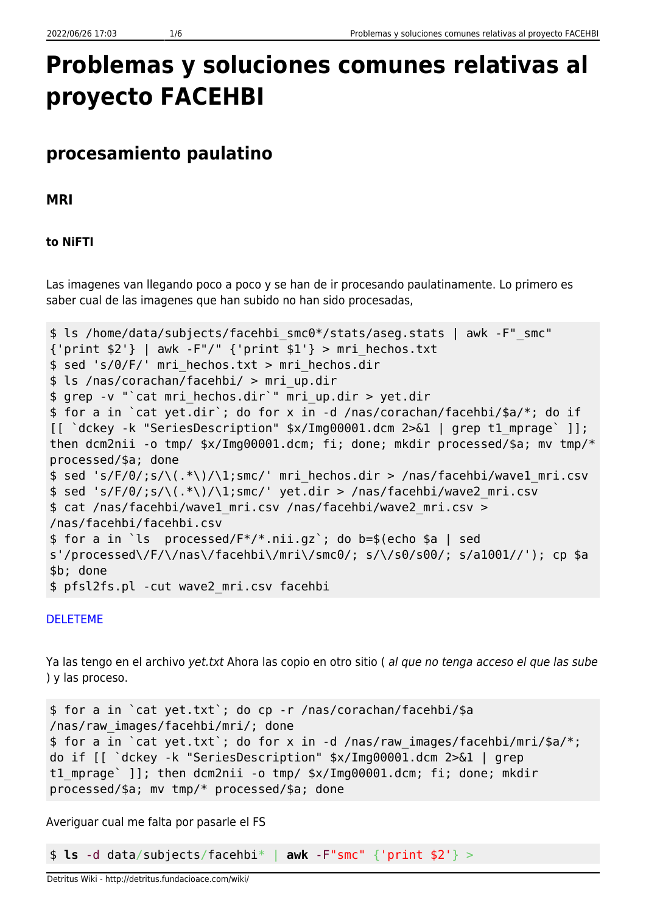# **Problemas y soluciones comunes relativas al proyecto FACEHBI**

### **procesamiento paulatino**

**MRI**

#### **to NiFTI**

Las imagenes van llegando poco a poco y se han de ir procesando paulatinamente. Lo primero es saber cual de las imagenes que han subido no han sido procesadas,

```
$ ls /home/data/subjects/facehbi_smc0*/stats/aseg.stats | awk -F"_smc"
{\text{print $2$'}} | awk -F"/" {\text{print $1$'}} > mri hechos.txt
$ sed 's/0/F/' mri_hechos.txt > mri_hechos.dir
$ ls /nas/corachan/facehbi/ > mri_up.dir
$ grep -v "`cat mri_hechos.dir`" mri_up.dir > yet.dir
$ for a in `cat yet.dir`; do for x in -d /nas/corachan/facehbi/$a/*; do if
[[ `dckey -k "SeriesDescription" $x/Img00001.dcm 2>&1 | grep t1_mprage` ]];
then dcm2nii -o tmp/ $x/Img00001.dcm; fi; done; mkdir processed/$a; mv tmp/*
processed/$a; done
$ sed 's/F/0/;s/\(.*\)/\1;smc/' mri_hechos.dir > /nas/facehbi/wave1_mri.csv
$ sed 's/F/0/js/\\(.*))/1;smc/' yet-dir > /nas/facehbi/wave2 mri.csv$ cat /nas/facehbi/wave1_mri.csv /nas/facehbi/wave2_mri.csv >
/nas/facehbi/facehbi.csv
$ for a in `ls processed/F*/*.nii.gz`; do b=$(echo $a | sed
s'/processed\/F/\/nas\/facehbi\/mri\/smc0/; s/\/s0/s00/; s/a1001//'); cp $a
$b; done
$ pfsl2fs.pl -cut wave2_mri.csv facehbi
```
#### [DELETEME](#page--1-0)

Ya las tengo en el archivo yet.txt Ahora las copio en otro sitio ( al que no tenga acceso el que las sube ) y las proceso.

\$ for a in `cat yet.txt`; do cp -r /nas/corachan/facehbi/\$a /nas/raw\_images/facehbi/mri/; done \$ for a in `cat yet.txt`; do for x in -d /nas/raw\_images/facehbi/mri/\$a/\*; do if [[ `dckey -k "SeriesDescription" \$x/Img00001.dcm 2>&1 | grep t1 mprage` ]]; then dcm2nii -o tmp/ \$x/Img00001.dcm; fi; done; mkdir processed/\$a; mv tmp/\* processed/\$a; done

Averiguar cual me falta por pasarle el FS

\$ **ls** -d data/subjects/facehbi\* | **awk** -F"smc" {'print \$2'} >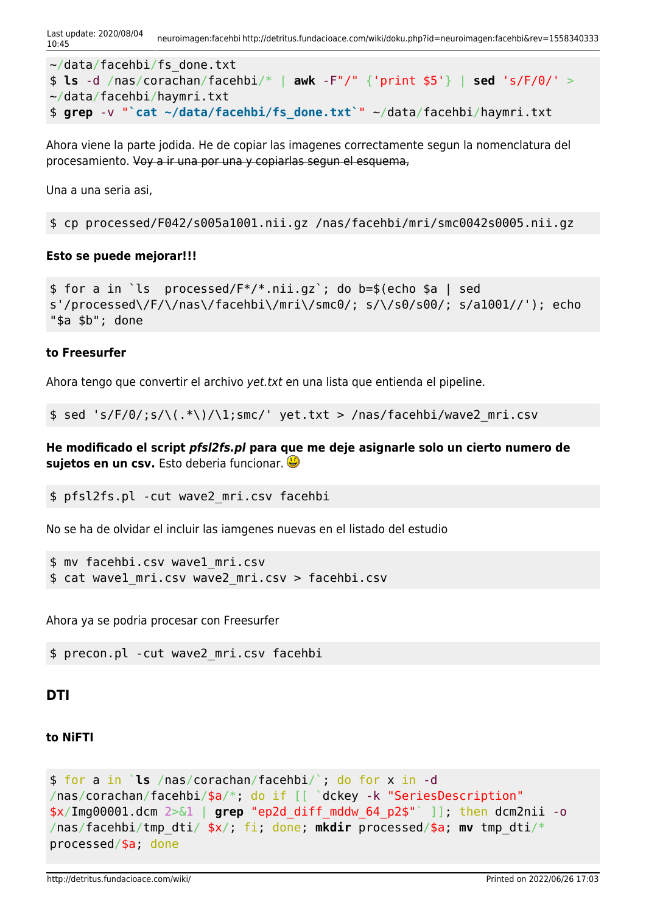```
~/data/facehbi/fs_done.txt
$ ls -d /nas/corachan/facehbi/* | awk -F"/" {'print $5'} | sed 's/F/0/' >
~/data/facehbi/haymri.txt
$ grep -v "`cat ~/data/facehbi/fs_done.txt`" ~/data/facehbi/haymri.txt
```
Ahora viene la parte jodida. He de copiar las imagenes correctamente segun la nomenclatura del procesamiento. Voy a ir una por una y copiarlas segun el esquema,

Una a una seria asi,

\$ cp processed/F042/s005a1001.nii.gz /nas/facehbi/mri/smc0042s0005.nii.gz

#### **Esto se puede mejorar!!!**

```
$ for a in `ls processed/F*/*.nii.gz`; do b=$(echo $a | sed
s'/processed\/F/\/nas\/facehbi\/mri\/smc0/; s/\/s0/s00/; s/a1001//'); echo
"$a $b"; done
```
#### **to Freesurfer**

Ahora tengo que convertir el archivo yet.txt en una lista que entienda el pipeline.

 $$ sed 's/F/0/;s/\\(.*))/1;smc/' yet.txt > /nas/facehbi/wave2_mri.csv$ 

**He modificado el script** *pfsl2fs.pl* **para que me deje asignarle solo un cierto numero de sujetos en un csv.** Esto deberia funcionar.

```
$ pfsl2fs.pl -cut wave2_mri.csv facehbi
```
No se ha de olvidar el incluir las iamgenes nuevas en el listado del estudio

```
$ mv facehbi.csv wave1_mri.csv
$ cat wave1_mri.csv wave2_mri.csv > facehbi.csv
```
Ahora ya se podria procesar con Freesurfer

\$ precon.pl -cut wave2\_mri.csv facehbi

#### **DTI**

#### **to NiFTI**

```
$ for a in `ls /nas/corachan/facehbi/`; do for x in -d
/nas/corachan/facehbi/$a/*; do if [[ `dckey -k "SeriesDescription"
$x/Img00001.dcm 2>&1 | grep "ep2d_diff_mddw_64_p2$"` ]]; then dcm2nii -o
/nas/facehbi/tmp_dti/ $x/; fi; done; mkdir processed/$a; mv tmp_dti/*
processed/$a; done
```
http://detritus.fundacioace.com/wiki/ Printed on 2022/06/26 17:03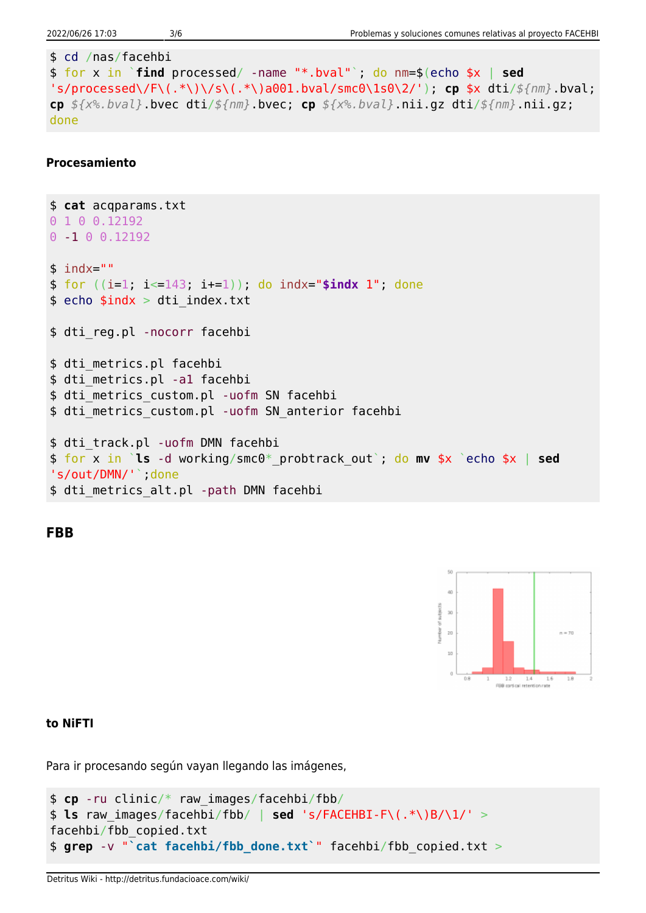```
$ cd /nas/facehbi
$ for x in `find processed/ -name "*.bval"`; do nm=$(echo $x | sed
's/processed\/F\(.*\)\/s\(.*\)a001.bval/smc0\1s0\2/'); cp $x dti/${nm}.bval;
cp ${x%.bval}.bvec dti/${nm}.bvec; cp ${x%.bval}.nii.gz dti/${nm}.nii.gz;
done
```
#### **Procesamiento**

```
$ cat acqparams.txt
0 1 0 0.12192
0 -1 0 0.12192
$ indx=""
$ for ((i=1; i<=143; i+=1)); do indx="$indx 1"; done
$eb; echo $indx > dit; index.txt$ dti_reg.pl -nocorr facehbi
$ dti metrics.pl facehbi
$ dti metrics.pl -al facehbi
$ dti metrics custom.pl -uofm SN facehbi
$ dti metrics custom.pl -uofm SN anterior facehbi
$ dti track.pl -uofm DMN facehbi
$ for x in `ls -d working/smc0*_probtrack_out`; do mv $x `echo $x | sed
's/out/DMN/'<sup>'</sup>; done
$ dti_metrics_alt.pl -path DMN facehbi
```
**FBB**



#### **to NiFTI**

Para ir procesando según vayan llegando las imágenes,

```
$ cp -ru clinic/* raw_images/facehbi/fbb/
$ ls raw_images/facehbi/fbb/ | sed 's/FACEHBI-F\(.*\)B/\1/' >
facehbi/fbb_copied.txt
$ grep -v "`cat facehbi/fbb_done.txt`" facehbi/fbb_copied.txt >
```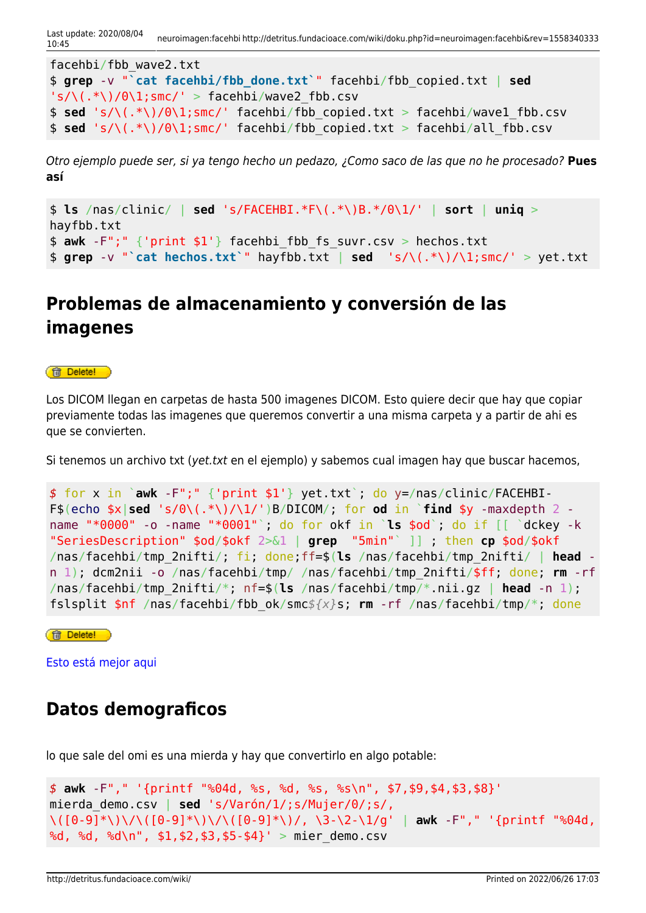| facehbi/fbb wave2.txt                                                             |  |  |  |  |  |  |                                                                                      |
|-----------------------------------------------------------------------------------|--|--|--|--|--|--|--------------------------------------------------------------------------------------|
|                                                                                   |  |  |  |  |  |  | \$ grep -v "'cat facehbi/fbb done.txt'" facehbi/fbb copied.txt   sed                 |
| $\langle s/\langle .*, \rangle /0 \langle 1; smc/ \rangle >facehbi/wave2 fbb.csv$ |  |  |  |  |  |  |                                                                                      |
|                                                                                   |  |  |  |  |  |  | $\frac{1}{2}$ sed 's/\(.*\)/0\1;smc/' facehbi/fbb copied.txt > facehbi/wavel fbb.csv |
|                                                                                   |  |  |  |  |  |  | $\frac{1}{2}$ sed 's/\(.*\)/0\1;smc/' facehbi/fbb copied.txt > facehbi/all fbb.csv   |

Otro ejemplo puede ser, si ya tengo hecho un pedazo, ¿Como saco de las que no he procesado? **Pues así**

```
$ ls /nas/clinic/ | sed 's/FACEHBI.*F\(.*\)B.*/0\1/' | sort | uniq >
hayfbb.txt
$ awk -F";" {'print $1'} facehbi_fbb_fs_suvr.csv > hechos.txt
$ grep -v "`cat hechos.txt`" hayfbb.txt | sed 's/\(.*\)/\1;smc/' > yet.txt
```
## **Problemas de almacenamiento y conversión de las imagenes**

#### **ff** Delete!

Los DICOM llegan en carpetas de hasta 500 imagenes DICOM. Esto quiere decir que hay que copiar previamente todas las imagenes que queremos convertir a una misma carpeta y a partir de ahi es que se convierten.

Si tenemos un archivo txt (yet.txt en el ejemplo) y sabemos cual imagen hay que buscar hacemos,

```
$ for x in `awk -F";" {'print $1'} yet.txt`; do y=/nas/clinic/FACEHBI-
F$(echo \frac{2}{3}sed 's/\frac{0}{1}, '*\)/\1/')B/DICOM/; for od in `find $y -maxdepth 2 -
name "*0000" -o -name "*0001"`; do for okf in `ls $od`; do if [[ `dckey -k
"SeriesDescription" $od/$okf 2>&1 | grep "5min"` ]] ; then cp $od/$okf
/nas/facehbi/tmp_2nifti/; fi; done;ff=$(ls /nas/facehbi/tmp_2nifti/ | head -
n 1); dcm2nii -o /nas/facehbi/tmp/ /nas/facehbi/tmp_2nifti/$ff; done; rm -rf
/nas/facehbi/tmp_2nifti/*; nf=$(ls /nas/facehbi/tmp/*.nii.gz | head -n 1);
fslsplit $nf /nas/facehbi/fbb_ok/smc${x}s; rm -rf /nas/facehbi/tmp/*; done
```
**ff** Delete!

[Esto está mejor aqui](http://detritus.fundacioace.com/wiki/doku.php?id=neuroimagen:fbb)

### **Datos demograficos**

lo que sale del omi es una mierda y hay que convertirlo en algo potable:

```
$ awk -F"," '{printf "%04d, %s, %d, %s, %s\n", $7,$9,$4,$3,$8}'
mierda_demo.csv | sed 's/Varón/1/;s/Mujer/0/;s/,
\([0-9]*\)\/\([0-9]*\)\/\([0-9]*\)/, \3-\2-\1/g' | awk -F"," '{printf "%04d,
%d, %d, %d\n", $1,$2,$3,$5-$4}' > mier_demo.csv
```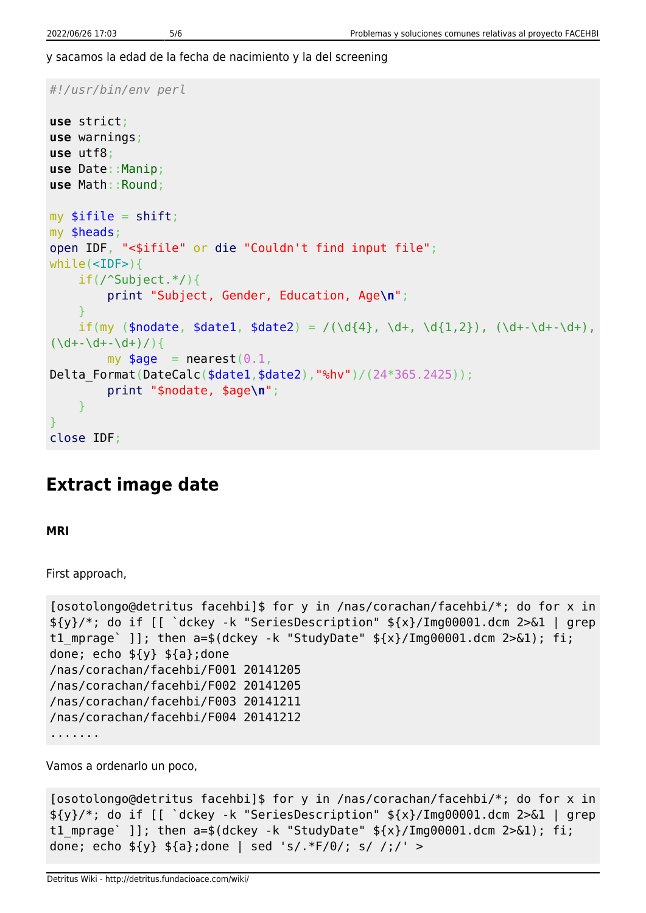y sacamos la edad de la fecha de nacimiento y la del screening

```
#!/usr/bin/env perl
use strict;
use warnings;
use utf8;
use Date::Manip;
use Math::Round;
mvshift;
my $heads;
open IDF, "<$ifile" or die "Couldn't find input file";
while(<IDF>){
     if(/^Subject.*/){
          print "Subject, Gender, Education, Age\n";
 }
    if(my ($nodate, $data1, $data2) = /(\d{4}, \d+, \d{1,2}), (\d+-\d+-\d+),(\dagger\ddot{\theta} + \ddot{\theta} + \ddot{\theta} + \ddot{\theta})my \text{age} = nearest(0.1,Delta Format(DateCalc($date1,$date2),"%hv")/(24*365.2425));
          print "$nodate, $age\n";
     }
}
close IDF;
```
### **Extract image date**

**MRI**

First approach,

```
[osotolongo@detritus facehbi]$ for y in /nas/corachan/facehbi/*; do for x in
${y}/*; do if [[ `dckey -k "SeriesDescription" ${x}/Img00001.dcm 2>&1 | grep
t1 mprage` ]]; then a=$(dckey -k "StudyDate" ${x}/Img00001.dcm 2>&1); fi;
done; echo ${y} ${a};done
/nas/corachan/facehbi/F001 20141205
/nas/corachan/facehbi/F002 20141205
/nas/corachan/facehbi/F003 20141211
/nas/corachan/facehbi/F004 20141212
.......
```
Vamos a ordenarlo un poco,

```
[osotolongo@detritus facehbi]$ for y in /nas/corachan/facehbi/*; do for x in
${y}/*; do if [[ `dckey -k "SeriesDescription" ${x}/Img00001.dcm 2>&1 | grep
t1 mprage` ]]; then a=$(dckey -k "StudyDate" ${x}/Img00001.dcm 2>&1); fi;
done; echo \{(y\} \, \S_{\{a\}}; done | sed 's/.*F/0/; s/ /;/' >
```